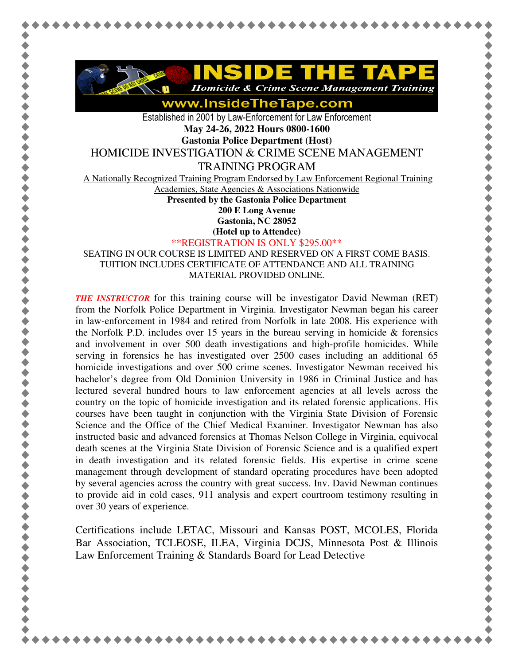

**Homicide & Crime Scene Management Training** 

www.InsideTheTape.com

Established in 2001 by Law-Enforcement for Law Enforcement **May 24-26, 2022 Hours 0800-1600** 

**Gastonia Police Department (Host)** 

HOMICIDE INVESTIGATION & CRIME SCENE MANAGEMENT

TRAINING PROGRAM

A Nationally Recognized Training Program Endorsed by Law Enforcement Regional Training

Academies, State Agencies & Associations Nationwide

**Presented by the Gastonia Police Department** 

**200 E Long Avenue** 

**Gastonia, NC 28052 (Hotel up to Attendee)**

\*\*REGISTRATION IS ONLY \$295.00\*\*

SEATING IN OUR COURSE IS LIMITED AND RESERVED ON A FIRST COME BASIS. TUITION INCLUDES CERTIFICATE OF ATTENDANCE AND ALL TRAINING MATERIAL PROVIDED ONLINE.

*THE INSTRUCTOR* for this training course will be investigator David Newman (RET) from the Norfolk Police Department in Virginia. Investigator Newman began his career in law-enforcement in 1984 and retired from Norfolk in late 2008. His experience with the Norfolk P.D. includes over 15 years in the bureau serving in homicide  $\&$  forensics and involvement in over 500 death investigations and high-profile homicides. While serving in forensics he has investigated over 2500 cases including an additional 65 homicide investigations and over 500 crime scenes. Investigator Newman received his bachelor's degree from Old Dominion University in 1986 in Criminal Justice and has lectured several hundred hours to law enforcement agencies at all levels across the country on the topic of homicide investigation and its related forensic applications. His courses have been taught in conjunction with the Virginia State Division of Forensic Science and the Office of the Chief Medical Examiner. Investigator Newman has also instructed basic and advanced forensics at Thomas Nelson College in Virginia, equivocal death scenes at the Virginia State Division of Forensic Science and is a qualified expert in death investigation and its related forensic fields. His expertise in crime scene management through development of standard operating procedures have been adopted by several agencies across the country with great success. Inv. David Newman continues to provide aid in cold cases, 911 analysis and expert courtroom testimony resulting in over 30 years of experience.

Certifications include LETAC, Missouri and Kansas POST, MCOLES, Florida Bar Association, TCLEOSE, ILEA, Virginia DCJS, Minnesota Post & Illinois Law Enforcement Training & Standards Board for Lead Detective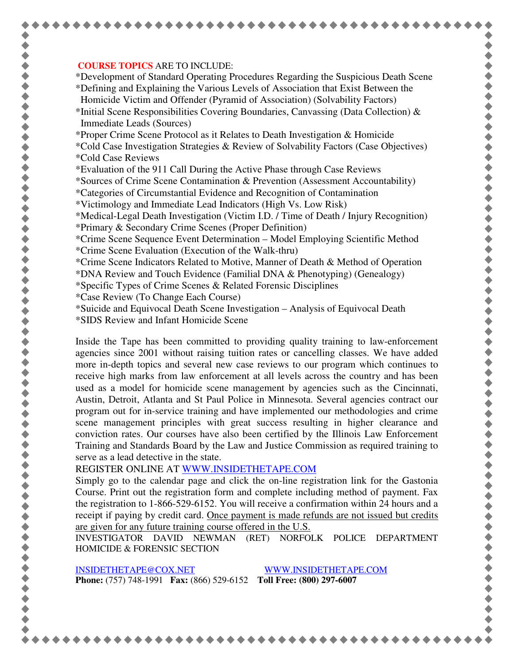## **COURSE TOPICS** ARE TO INCLUDE:

\*Development of Standard Operating Procedures Regarding the Suspicious Death Scene \*Defining and Explaining the Various Levels of Association that Exist Between the Homicide Victim and Offender (Pyramid of Association) (Solvability Factors)

- \*Initial Scene Responsibilities Covering Boundaries, Canvassing (Data Collection)  $\&$ Immediate Leads (Sources)
- \*Proper Crime Scene Protocol as it Relates to Death Investigation & Homicide
- \*Cold Case Investigation Strategies & Review of Solvability Factors (Case Objectives) \*Cold Case Reviews
- \*Evaluation of the 911 Call During the Active Phase through Case Reviews

\*Sources of Crime Scene Contamination & Prevention (Assessment Accountability)

- \*Categories of Circumstantial Evidence and Recognition of Contamination
- \*Victimology and Immediate Lead Indicators (High Vs. Low Risk)

\*Medical-Legal Death Investigation (Victim I.D. / Time of Death / Injury Recognition)

- \*Primary & Secondary Crime Scenes (Proper Definition)
- \*Crime Scene Sequence Event Determination Model Employing Scientific Method \*Crime Scene Evaluation (Execution of the Walk-thru)
- \*Crime Scene Indicators Related to Motive, Manner of Death & Method of Operation
- \*DNA Review and Touch Evidence (Familial DNA & Phenotyping) (Genealogy)
- \*Specific Types of Crime Scenes & Related Forensic Disciplines
- \*Case Review (To Change Each Course)
- \*Suicide and Equivocal Death Scene Investigation Analysis of Equivocal Death
- \*SIDS Review and Infant Homicide Scene

Inside the Tape has been committed to providing quality training to law-enforcement agencies since 2001 without raising tuition rates or cancelling classes. We have added more in-depth topics and several new case reviews to our program which continues to receive high marks from law enforcement at all levels across the country and has been used as a model for homicide scene management by agencies such as the Cincinnati, Austin, Detroit, Atlanta and St Paul Police in Minnesota. Several agencies contract our program out for in-service training and have implemented our methodologies and crime scene management principles with great success resulting in higher clearance and conviction rates. Our courses have also been certified by the Illinois Law Enforcement Training and Standards Board by the Law and Justice Commission as required training to serve as a lead detective in the state.

REGISTER ONLINE AT WWW.INSIDETHETAPE.COM

Simply go to the calendar page and click the on-line registration link for the Gastonia Course. Print out the registration form and complete including method of payment. Fax the registration to 1-866-529-6152. You will receive a confirmation within 24 hours and a receipt if paying by credit card. Once payment is made refunds are not issued but credits are given for any future training course offered in the U.S.

INVESTIGATOR DAVID NEWMAN (RET) NORFOLK POLICE DEPARTMENT HOMICIDE & FORENSIC SECTION

INSIDETHETAPE@COX.NET WWW.INSIDETHETAPE.COM **Phone:** (757) 748-1991 **Fax:** (866) 529-6152 **Toll Free: (800) 297-6007**